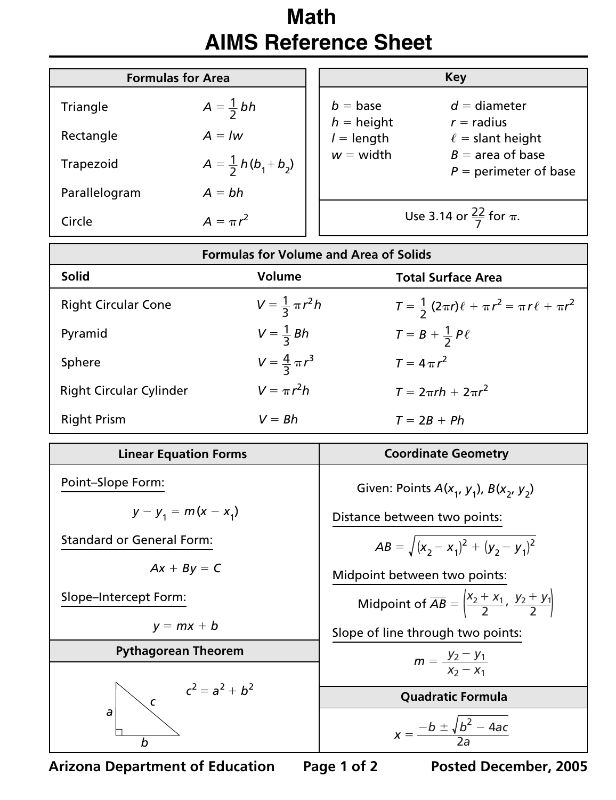## **Math AIMS Reference Sheet**

| <b>Formulas for Area</b> |                                 | Key                               |                                               |
|--------------------------|---------------------------------|-----------------------------------|-----------------------------------------------|
| Triangle                 | $A=\frac{1}{2}bh$               | $b = \text{base}$<br>$h =$ height | $d =$ diameter<br>$r =$ radius                |
| Rectangle                | $A = lw$                        | $l =$ length                      | $\ell$ = slant height                         |
| Trapezoid                | $A = \frac{1}{2} h (b_1 + b_2)$ | $w = width$                       | $B =$ area of base<br>$P =$ perimeter of base |
| Parallelogram            | $A = bh$                        |                                   |                                               |
| Circle                   | $A = \pi r^2$                   |                                   | Use 3.14 or $\frac{22}{7}$ for $\pi$ .        |

| <b>Formulas for Volume and Area of Solids</b> |                             |                                                                 |  |  |
|-----------------------------------------------|-----------------------------|-----------------------------------------------------------------|--|--|
| <b>Solid</b>                                  | <b>Volume</b>               | <b>Total Surface Area</b>                                       |  |  |
| <b>Right Circular Cone</b>                    | $V = \frac{1}{3} \pi r^2 h$ | $T = \frac{1}{2} (2\pi r)\ell + \pi r^2 = \pi r \ell + \pi r^2$ |  |  |
| Pyramid                                       | $V=\frac{1}{3} Bh$          | $T = B + \frac{1}{2} P \ell$                                    |  |  |
| Sphere                                        | $V = \frac{4}{3} \pi r^3$   | $T = 4 \pi r^2$                                                 |  |  |
| <b>Right Circular Cylinder</b>                | $V = \pi r^2 h$             | $T = 2\pi rh + 2\pi r^2$                                        |  |  |
| <b>Right Prism</b>                            | $V = Bh$                    | $T = 2B + Ph$                                                   |  |  |

| <b>Linear Equation Forms</b>     | <b>Coordinate Geometry</b>                                                            |
|----------------------------------|---------------------------------------------------------------------------------------|
| Point-Slope Form:                | Given: Points $A(x_1, y_1)$ , $B(x_2, y_2)$                                           |
| $y - y_1 = m(x - x_1)$           | Distance between two points:                                                          |
| <b>Standard or General Form:</b> | $AB = \sqrt{(x_2 - x_1)^2 + (y_2 - y_1)^2}$                                           |
| $Ax + By = C$                    | Midpoint between two points:                                                          |
| Slope-Intercept Form:            | Midpoint of $\overline{AB} = \left  \frac{x_2 + x_1}{2}, \frac{y_2 + y_1}{2} \right $ |
| $y = mx + b$                     | Slope of line through two points:                                                     |
| <b>Pythagorean Theorem</b>       | $m = \frac{y_2 - y_1}{x_2 - x_1}$                                                     |
|                                  |                                                                                       |
| $c^2 = a^2 + b^2$                | <b>Quadratic Formula</b>                                                              |
| a<br>$\boldsymbol{b}$            | $x = \frac{-b \pm \sqrt{b^2 - 4ac}}{2a}$                                              |

**Arizona Department of Education Page 1 of 2 Posted December, 2005**